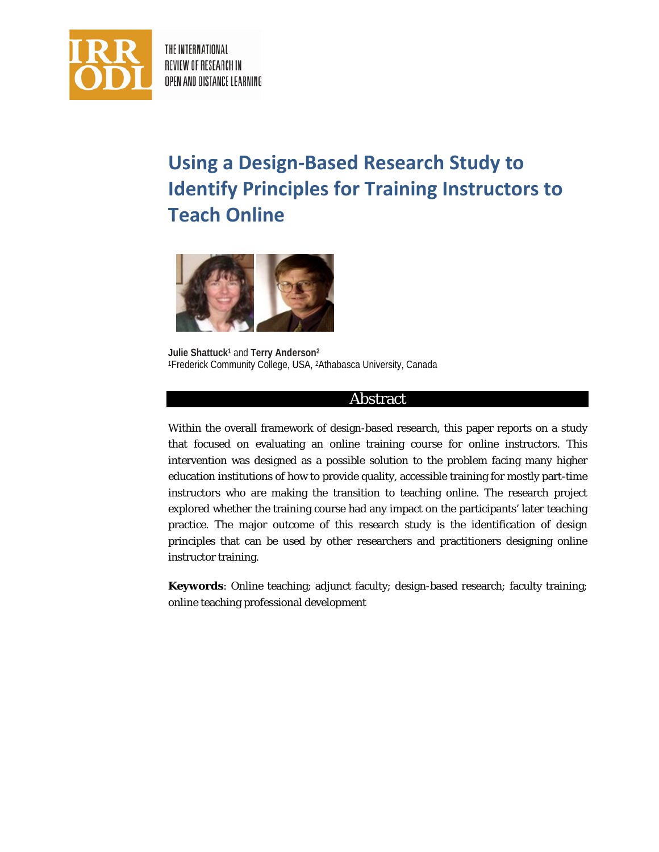

THE INTERNATIONAL REVIEW OF RESEARCH IN OPEN AND DISTANCE LEARNING

# **Using a Design-Based Research Study to Identify Principles for Training Instructors to Teach Online**



**Julie Shattuck1** and **Terry Anderson2** 1Frederick Community College, USA, 2Athabasca University, Canada

# Abstract

Within the overall framework of design-based research, this paper reports on a study that focused on evaluating an online training course for online instructors. This intervention was designed as a possible solution to the problem facing many higher education institutions of how to provide quality, accessible training for mostly part-time instructors who are making the transition to teaching online. The research project explored whether the training course had any impact on the participants' later teaching practice. The major outcome of this research study is the identification of design principles that can be used by other researchers and practitioners designing online instructor training.

**Keywords**: Online teaching; adjunct faculty; design-based research; faculty training; online teaching professional development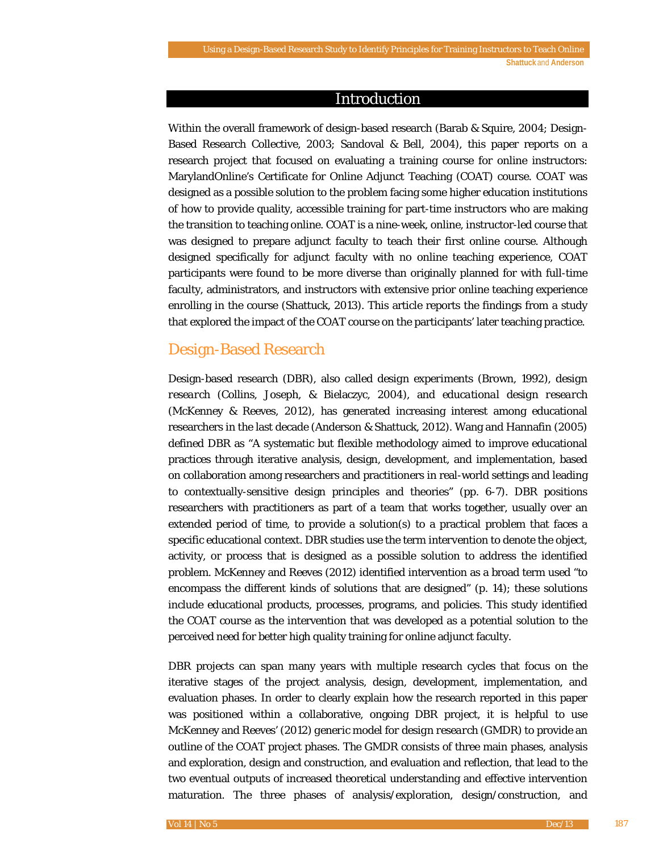### Introduction

Within the overall framework of design-based research (Barab & Squire, 2004; Design-Based Research Collective, 2003; Sandoval & Bell, 2004), this paper reports on a research project that focused on evaluating a training course for online instructors: MarylandOnline's Certificate for Online Adjunct Teaching (COAT) course. COAT was designed as a possible solution to the problem facing some higher education institutions of how to provide quality, accessible training for part-time instructors who are making the transition to teaching online. COAT is a nine-week, online, instructor-led course that was designed to prepare adjunct faculty to teach their first online course. Although designed specifically for adjunct faculty with no online teaching experience, COAT participants were found to be more diverse than originally planned for with full-time faculty, administrators, and instructors with extensive prior online teaching experience enrolling in the course (Shattuck, 2013). This article reports the findings from a study that explored the impact of the COAT course on the participants' later teaching practice.

# Design-Based Research

Design-based research (DBR), also called *design experiments* (Brown, 1992), *design research* (Collins, Joseph, & Bielaczyc, 2004), and *educational design research*  (McKenney & Reeves, 2012), has generated increasing interest among educational researchers in the last decade (Anderson & Shattuck, 2012). Wang and Hannafin (2005) defined DBR as "A systematic but flexible methodology aimed to improve educational practices through iterative analysis, design, development, and implementation, based on collaboration among researchers and practitioners in real-world settings and leading to contextually-sensitive design principles and theories" (pp. 6-7). DBR positions researchers with practitioners as part of a team that works together, usually over an extended period of time, to provide a solution(s) to a practical problem that faces a specific educational context. DBR studies use the term *intervention* to denote the object, activity, or process that is designed as a possible solution to address the identified problem. McKenney and Reeves (2012) identified intervention as a broad term used "to encompass the different kinds of solutions that are designed" (p. 14); these solutions include educational products, processes, programs, and policies. This study identified the COAT course as the intervention that was developed as a potential solution to the perceived need for better high quality training for online adjunct faculty.

DBR projects can span many years with multiple research cycles that focus on the iterative stages of the project analysis, design, development, implementation, and evaluation phases. In order to clearly explain how the research reported in this paper was positioned within a collaborative, ongoing DBR project, it is helpful to use McKenney and Reeves' (2012) *generic model for design research* (GMDR) to provide an outline of the COAT project phases. The GMDR consists of three main phases, analysis and exploration, design and construction, and evaluation and reflection, that lead to the two eventual outputs of increased theoretical understanding and effective intervention maturation. The three phases of analysis/exploration, design/construction, and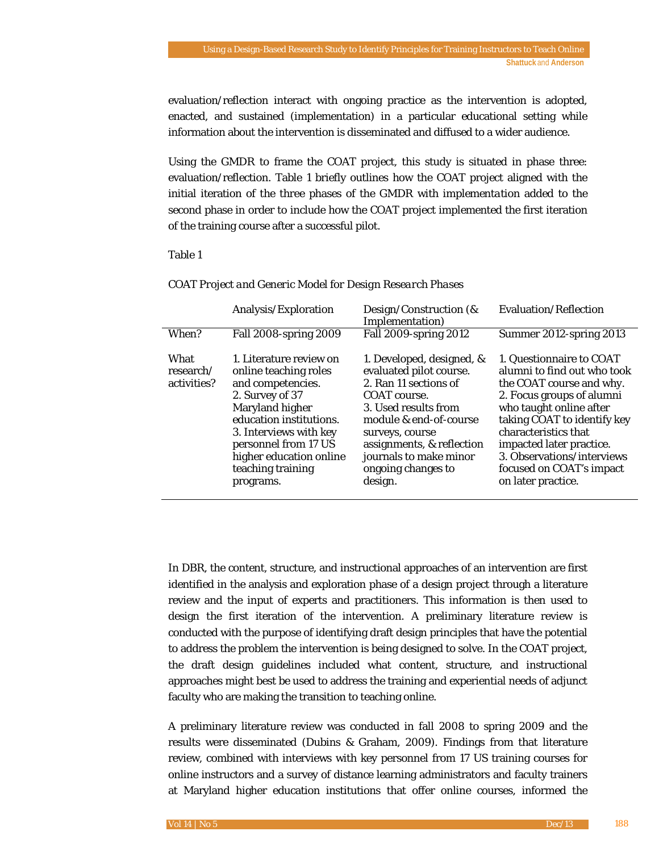evaluation/reflection interact with ongoing practice as the intervention is adopted, enacted, and sustained (implementation) in a particular educational setting while information about the intervention is disseminated and diffused to a wider audience.

Using the GMDR to frame the COAT project, this study is situated in phase three: evaluation/reflection. Table 1 briefly outlines how the COAT project aligned with the initial iteration of the three phases of the GMDR with *implementation* added to the second phase in order to include how the COAT project implemented the first iteration of the training course after a successful pilot.

Table 1

|                                  | Analysis/Exploration                                                                                                                                                                                                                                  | Design/Construction (&<br>Implementation)                                                                                                                                                                                                                  | <b>Evaluation/Reflection</b>                                                                                                                                                                                                                                                                                   |
|----------------------------------|-------------------------------------------------------------------------------------------------------------------------------------------------------------------------------------------------------------------------------------------------------|------------------------------------------------------------------------------------------------------------------------------------------------------------------------------------------------------------------------------------------------------------|----------------------------------------------------------------------------------------------------------------------------------------------------------------------------------------------------------------------------------------------------------------------------------------------------------------|
| When?                            | Fall 2008-spring 2009                                                                                                                                                                                                                                 | Fall 2009-spring 2012                                                                                                                                                                                                                                      | Summer 2012-spring 2013                                                                                                                                                                                                                                                                                        |
| What<br>research/<br>activities? | 1. Literature review on<br>online teaching roles<br>and competencies.<br>2. Survey of 37<br>Maryland higher<br>education institutions.<br>3. Interviews with key<br>personnel from 17 US<br>higher education online<br>teaching training<br>programs. | 1. Developed, designed, &<br>evaluated pilot course.<br>2. Ran 11 sections of<br>COAT course.<br>3. Used results from<br>module & end-of-course<br>surveys, course<br>assignments, & reflection<br>journals to make minor<br>ongoing changes to<br>design. | 1. Questionnaire to COAT<br>alumni to find out who took<br>the COAT course and why.<br>2. Focus groups of alumni<br>who taught online after<br>taking COAT to identify key<br>characteristics that<br>impacted later practice.<br>3. Observations/interviews<br>focused on COAT's impact<br>on later practice. |

### *COAT Project and Generic Model for Design Research Phases*

In DBR, the content, structure, and instructional approaches of an intervention are first identified in the analysis and exploration phase of a design project through a literature review and the input of experts and practitioners. This information is then used to design the first iteration of the intervention. A preliminary literature review is conducted with the purpose of identifying draft design principles that have the potential to address the problem the intervention is being designed to solve. In the COAT project, the draft design guidelines included what content, structure, and instructional approaches might best be used to address the training and experiential needs of adjunct faculty who are making the transition to teaching online.

A preliminary literature review was conducted in fall 2008 to spring 2009 and the results were disseminated (Dubins & Graham, 2009). Findings from that literature review, combined with interviews with key personnel from 17 US training courses for online instructors and a survey of distance learning administrators and faculty trainers at Maryland higher education institutions that offer online courses, informed the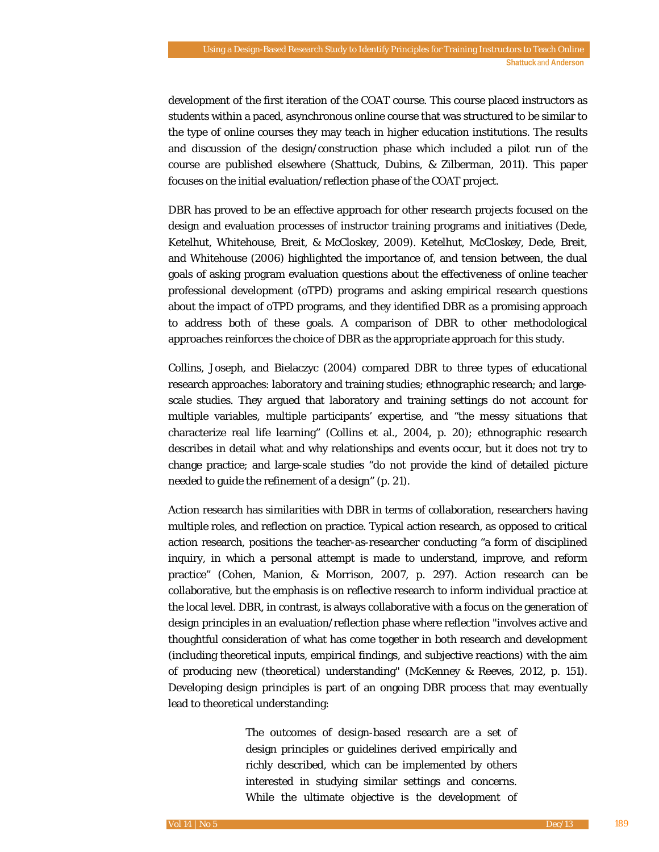development of the first iteration of the COAT course. This course placed instructors as students within a paced, asynchronous online course that was structured to be similar to the type of online courses they may teach in higher education institutions. The results and discussion of the design/construction phase which included a pilot run of the course are published elsewhere (Shattuck, Dubins, & Zilberman, 2011). This paper focuses on the initial evaluation/reflection phase of the COAT project.

DBR has proved to be an effective approach for other research projects focused on the design and evaluation processes of instructor training programs and initiatives (Dede, Ketelhut, Whitehouse, Breit, & McCloskey, 2009). Ketelhut, McCloskey, Dede, Breit, and Whitehouse (2006) highlighted the importance of, and tension between, the dual goals of asking program evaluation questions about the *effectiveness* of online teacher professional development (oTPD) programs and asking empirical research questions about the *impact* of oTPD programs, and they identified DBR as a promising approach to address both of these goals. A comparison of DBR to other methodological approaches reinforces the choice of DBR as the appropriate approach for this study.

Collins, Joseph, and Bielaczyc (2004) compared DBR to three types of educational research approaches: laboratory and training studies; ethnographic research; and largescale studies. They argued that laboratory and training settings do not account for multiple variables, multiple participants' expertise, and "the messy situations that characterize real life learning" (Collins et al., 2004, p. 20); ethnographic research describes in detail what and why relationships and events occur, but it does not try to change practice; and large-scale studies "do not provide the kind of detailed picture needed to guide the refinement of a design" (p. 21).

Action research has similarities with DBR in terms of collaboration, researchers having multiple roles, and reflection on practice. Typical action research, as opposed to critical action research, positions the teacher-as-researcher conducting "a form of disciplined inquiry, in which a personal attempt is made to understand, improve, and reform practice" (Cohen, Manion, & Morrison, 2007, p. 297). Action research can be collaborative, but the emphasis is on reflective research to inform individual practice at the local level. DBR, in contrast, is always collaborative with a focus on the generation of design principles in an evaluation/reflection phase where reflection "involves active and thoughtful consideration of what has come together in both research and development (including theoretical inputs, empirical findings, and subjective reactions) with the aim of producing new (theoretical) understanding" (McKenney & Reeves, 2012, p. 151). Developing design principles is part of an ongoing DBR process that may eventually lead to theoretical understanding:

> The outcomes of design-based research are a set of design principles or guidelines derived empirically and richly described, which can be implemented by others interested in studying similar settings and concerns. While the ultimate objective is the development of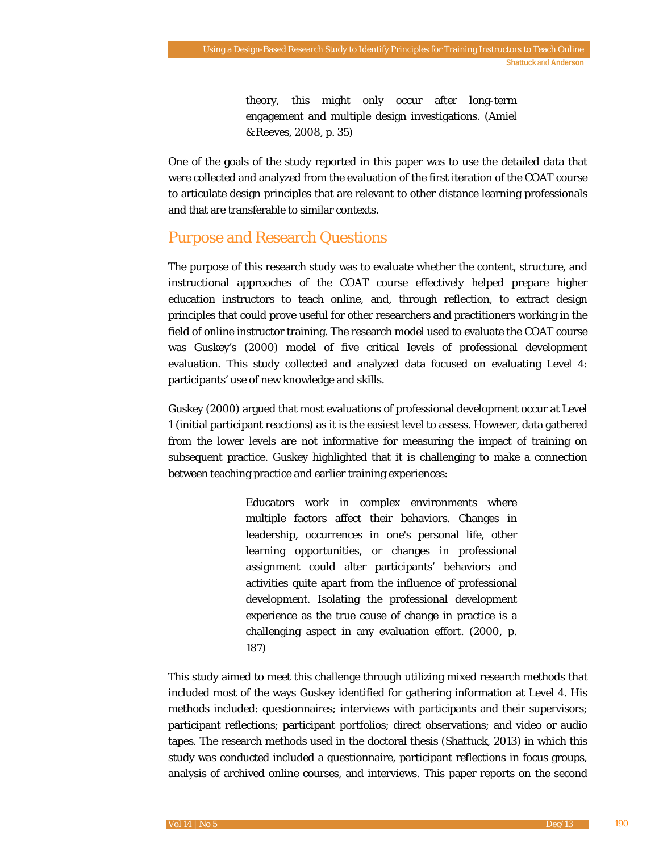theory, this might only occur after long-term engagement and multiple design investigations. (Amiel & Reeves, 2008, p. 35)

One of the goals of the study reported in this paper was to use the detailed data that were collected and analyzed from the evaluation of the first iteration of the COAT course to articulate design principles that are relevant to other distance learning professionals and that are transferable to similar contexts.

# Purpose and Research Questions

The purpose of this research study was to evaluate whether the content, structure, and instructional approaches of the COAT course effectively helped prepare higher education instructors to teach online, and, through reflection, to extract design principles that could prove useful for other researchers and practitioners working in the field of online instructor training. The research model used to evaluate the COAT course was Guskey's (2000) model of five critical levels of professional development evaluation. This study collected and analyzed data focused on evaluating Level 4: participants' use of new knowledge and skills.

Guskey (2000) argued that most evaluations of professional development occur at Level 1 (initial participant reactions) as it is the easiest level to assess. However, data gathered from the lower levels are not informative for measuring the impact of training on subsequent practice. Guskey highlighted that it is challenging to make a connection between teaching practice and earlier training experiences:

> Educators work in complex environments where multiple factors affect their behaviors. Changes in leadership, occurrences in one's personal life, other learning opportunities, or changes in professional assignment could alter participants' behaviors and activities quite apart from the influence of professional development. Isolating the professional development experience as the true cause of change in practice is a challenging aspect in any evaluation effort. (2000, p. 187)

This study aimed to meet this challenge through utilizing mixed research methods that included most of the ways Guskey identified for gathering information at Level 4. His methods included: questionnaires; interviews with participants and their supervisors; participant reflections; participant portfolios; direct observations; and video or audio tapes. The research methods used in the doctoral thesis (Shattuck, 2013) in which this study was conducted included a questionnaire, participant reflections in focus groups, analysis of archived online courses, and interviews. This paper reports on the second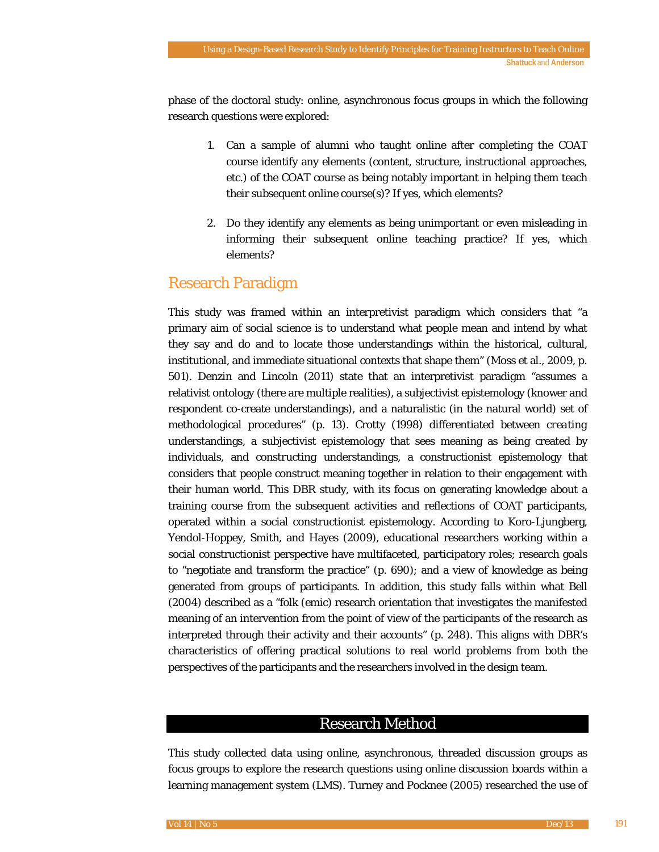phase of the doctoral study: online, asynchronous focus groups in which the following research questions were explored:

- 1. Can a sample of alumni who taught online after completing the COAT course identify any elements (content, structure, instructional approaches, etc.) of the COAT course as being notably important in helping them teach their subsequent online course(s)? If yes, which elements?
- 2. Do they identify any elements as being unimportant or even misleading in informing their subsequent online teaching practice? If yes, which elements?

# Research Paradigm

This study was framed within an interpretivist paradigm which considers that "a primary aim of social science is to understand what people mean and intend by what they say and do and to locate those understandings within the historical, cultural, institutional, and immediate situational contexts that shape them" (Moss et al., 2009, p. 501). Denzin and Lincoln (2011) state that an interpretivist paradigm "assumes a relativist ontology (there are multiple realities), a subjectivist epistemology (knower and respondent co-create understandings), and a naturalistic (in the natural world) set of methodological procedures" (p. 13). Crotty (1998) differentiated between *creating* understandings, a subjectivist epistemology that sees meaning as being created by individuals, and *constructing* understandings, a constructionist epistemology that considers that people construct meaning together in relation to their engagement with their human world. This DBR study, with its focus on generating knowledge about a training course from the subsequent activities and reflections of COAT participants, operated within a social constructionist epistemology. According to Koro-Ljungberg, Yendol-Hoppey, Smith, and Hayes (2009), educational researchers working within a social constructionist perspective have multifaceted, participatory roles; research goals to "negotiate and transform the practice" (p. 690); and a view of knowledge as being generated from groups of participants. In addition, this study falls within what Bell (2004) described as a "folk (emic) research orientation that investigates the manifested meaning of an intervention from the point of view of the participants of the research as interpreted through their activity and their accounts" (p. 248). This aligns with DBR's characteristics of offering practical solutions to real world problems from both the perspectives of the participants and the researchers involved in the design team.

### Research Method

This study collected data using online, asynchronous, threaded discussion groups as focus groups to explore the research questions using online discussion boards within a learning management system (LMS). Turney and Pocknee (2005) researched the use of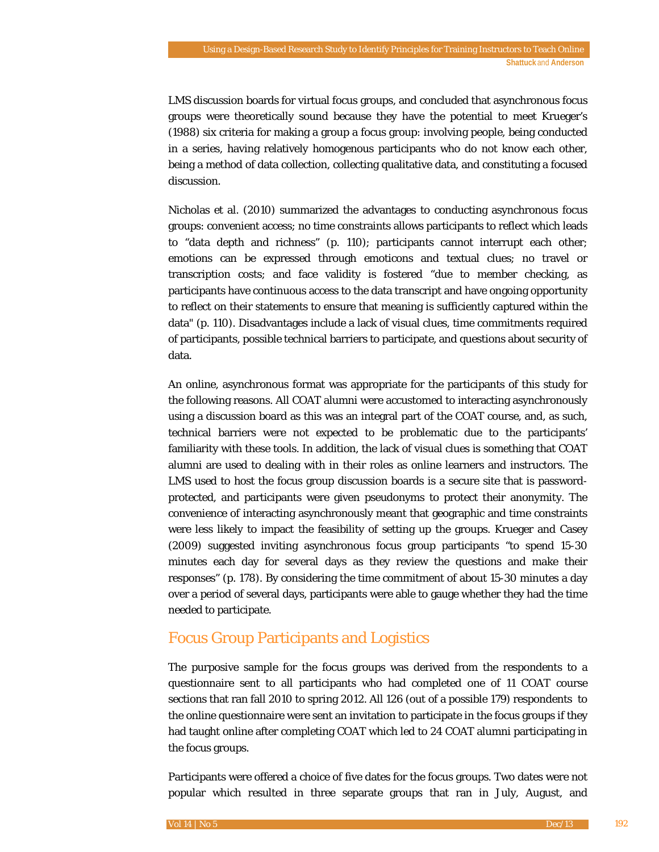LMS discussion boards for virtual focus groups, and concluded that asynchronous focus groups were theoretically sound because they have the potential to meet Krueger's (1988) six criteria for making a group a focus group: involving people, being conducted in a series, having relatively homogenous participants who do not know each other, being a method of data collection, collecting qualitative data, and constituting a focused discussion.

Nicholas et al. (2010) summarized the advantages to conducting asynchronous focus groups: convenient access; no time constraints allows participants to reflect which leads to "data depth and richness" (p. 110); participants cannot interrupt each other; emotions can be expressed through emoticons and textual clues; no travel or transcription costs; and face validity is fostered "due to member checking, as participants have continuous access to the data transcript and have ongoing opportunity to reflect on their statements to ensure that meaning is sufficiently captured within the data" (p. 110). Disadvantages include a lack of visual clues, time commitments required of participants, possible technical barriers to participate, and questions about security of data.

An online, asynchronous format was appropriate for the participants of this study for the following reasons. All COAT alumni were accustomed to interacting asynchronously using a discussion board as this was an integral part of the COAT course, and, as such, technical barriers were not expected to be problematic due to the participants' familiarity with these tools. In addition, the lack of visual clues is something that COAT alumni are used to dealing with in their roles as online learners and instructors. The LMS used to host the focus group discussion boards is a secure site that is passwordprotected, and participants were given pseudonyms to protect their anonymity. The convenience of interacting asynchronously meant that geographic and time constraints were less likely to impact the feasibility of setting up the groups. Krueger and Casey (2009) suggested inviting asynchronous focus group participants "to spend 15-30 minutes each day for several days as they review the questions and make their responses" (p. 178). By considering the time commitment of about 15-30 minutes a day over a period of several days, participants were able to gauge whether they had the time needed to participate.

# Focus Group Participants and Logistics

The purposive sample for the focus groups was derived from the respondents to a questionnaire sent to all participants who had completed one of 11 COAT course sections that ran fall 2010 to spring 2012. All 126 (out of a possible 179) respondents to the online questionnaire were sent an invitation to participate in the focus groups if they had taught online after completing COAT which led to 24 COAT alumni participating in the focus groups.

Participants were offered a choice of five dates for the focus groups. Two dates were not popular which resulted in three separate groups that ran in July, August, and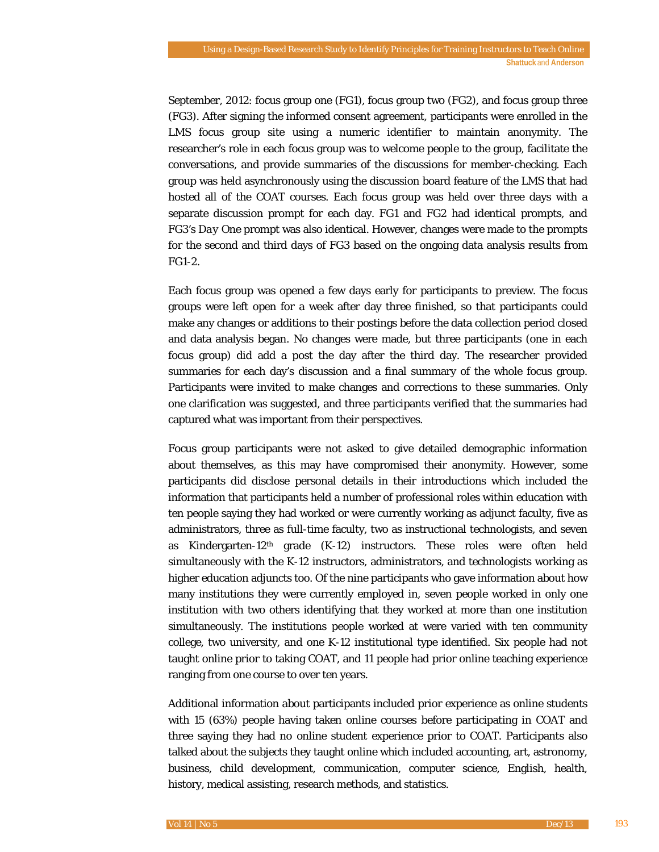September, 2012: focus group one (FG1), focus group two (FG2), and focus group three (FG3). After signing the informed consent agreement, participants were enrolled in the LMS focus group site using a numeric identifier to maintain anonymity. The researcher's role in each focus group was to welcome people to the group, facilitate the conversations, and provide summaries of the discussions for member-checking. Each group was held asynchronously using the discussion board feature of the LMS that had hosted all of the COAT courses. Each focus group was held over three days with a separate discussion prompt for each day. FG1 and FG2 had identical prompts, and FG3's *Day One* prompt was also identical. However, changes were made to the prompts for the second and third days of FG3 based on the ongoing data analysis results from FG1-2.

Each focus group was opened a few days early for participants to preview. The focus groups were left open for a week after day three finished, so that participants could make any changes or additions to their postings before the data collection period closed and data analysis began. No changes were made, but three participants (one in each focus group) did add a post the day after the third day. The researcher provided summaries for each day's discussion and a final summary of the whole focus group. Participants were invited to make changes and corrections to these summaries. Only one clarification was suggested, and three participants verified that the summaries had captured what was important from their perspectives.

Focus group participants were not asked to give detailed demographic information about themselves, as this may have compromised their anonymity. However, some participants did disclose personal details in their introductions which included the information that participants held a number of professional roles within education with ten people saying they had worked or were currently working as adjunct faculty, five as administrators, three as full-time faculty, two as instructional technologists, and seven as Kindergarten-12th grade (K-12) instructors. These roles were often held simultaneously with the K-12 instructors, administrators, and technologists working as higher education adjuncts too. Of the nine participants who gave information about how many institutions they were currently employed in, seven people worked in only one institution with two others identifying that they worked at more than one institution simultaneously. The institutions people worked at were varied with ten community college, two university, and one K-12 institutional type identified. Six people had not taught online prior to taking COAT, and 11 people had prior online teaching experience ranging from one course to over ten years.

Additional information about participants included prior experience as online students with 15 (63%) people having taken online courses before participating in COAT and three saying they had no online student experience prior to COAT. Participants also talked about the subjects they taught online which included accounting, art, astronomy, business, child development, communication, computer science, English, health, history, medical assisting, research methods, and statistics.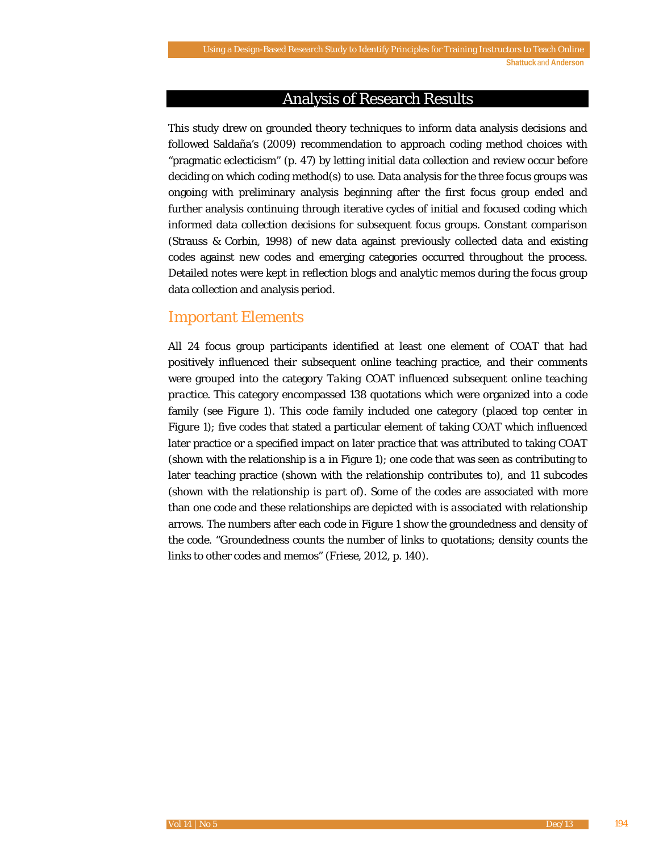# Analysis of Research Results

This study drew on grounded theory techniques to inform data analysis decisions and followed Saldaña's (2009) recommendation to approach coding method choices with "pragmatic eclecticism" (p. 47) by letting initial data collection and review occur before deciding on which coding method(s) to use. Data analysis for the three focus groups was ongoing with preliminary analysis beginning after the first focus group ended and further analysis continuing through iterative cycles of initial and focused coding which informed data collection decisions for subsequent focus groups. Constant comparison (Strauss & Corbin, 1998) of new data against previously collected data and existing codes against new codes and emerging categories occurred throughout the process. Detailed notes were kept in reflection blogs and analytic memos during the focus group data collection and analysis period.

# Important Elements

All 24 focus group participants identified at least one element of COAT that had positively influenced their subsequent online teaching practice, and their comments were grouped into the category *Taking COAT influenced subsequent online teaching practice.* This category encompassed 138 quotations which were organized into a code family (see Figure 1). This code family included one category (placed top center in Figure 1); five codes that stated a particular element of taking COAT which influenced later practice or a specified impact on later practice that was attributed to taking COAT (shown with the relationship *is a* in Figure 1); one code that was seen as contributing to later teaching practice (shown with the relationship *contributes to*), and 11 subcodes (shown with the relationship *is part of*). Some of the codes are associated with more than one code and these relationships are depicted with *is associated with* relationship arrows. The numbers after each code in Figure 1 show the groundedness and density of the code. "Groundedness counts the number of links to quotations; density counts the links to other codes and memos" (Friese, 2012, p. 140).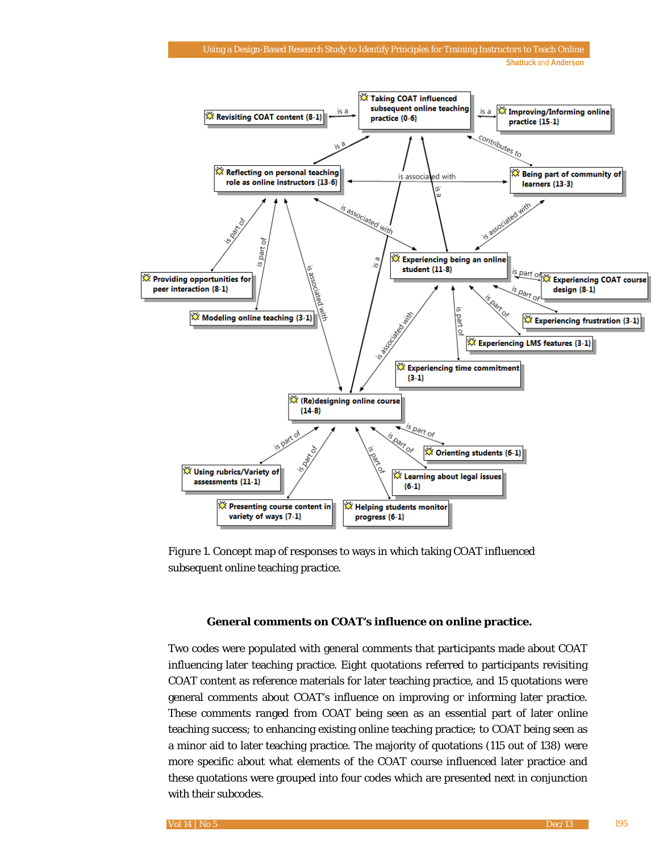Using a Design-Based Research Study to Identify Principles for Training Instructors to Teach Online **Shattuck** and **Anderson**



*Figure 1.* Concept map of responses to ways in which taking COAT influenced subsequent online teaching practice.

#### **General comments on COAT's influence on online practice.**

Two codes were populated with general comments that participants made about COAT influencing later teaching practice. Eight quotations referred to participants revisiting COAT content as reference materials for later teaching practice, and 15 quotations were general comments about COAT's influence on improving or informing later practice. These comments ranged from COAT being seen as an essential part of later online teaching success; to enhancing existing online teaching practice; to COAT being seen as a minor aid to later teaching practice. The majority of quotations (115 out of 138) were more specific about what elements of the COAT course influenced later practice and these quotations were grouped into four codes which are presented next in conjunction with their subcodes.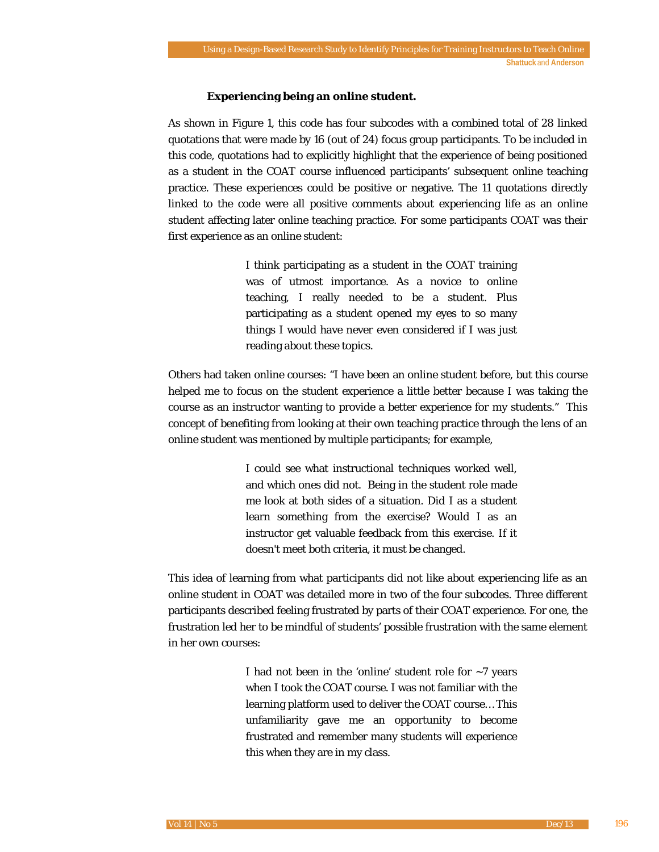#### **Experiencing being an online student.**

As shown in Figure 1, this code has four subcodes with a combined total of 28 linked quotations that were made by 16 (out of 24) focus group participants. To be included in this code, quotations had to explicitly highlight that the experience of being positioned as a student in the COAT course influenced participants' subsequent online teaching practice. These experiences could be positive or negative. The 11 quotations directly linked to the code were all positive comments about experiencing life as an online student affecting later online teaching practice. For some participants COAT was their first experience as an online student:

> I think participating as a student in the COAT training was of utmost importance. As a novice to online teaching, I really needed to be a student. Plus participating as a student opened my eyes to so many things I would have never even considered if I was just reading about these topics.

Others had taken online courses: "I have been an online student before, but this course helped me to focus on the student experience a little better because I was taking the course as an instructor wanting to provide a better experience for my students." This concept of benefiting from looking at their own teaching practice through the lens of an online student was mentioned by multiple participants; for example,

> I could see what instructional techniques worked well, and which ones did not. Being in the student role made me look at both sides of a situation. Did I as a student learn something from the exercise? Would I as an instructor get valuable feedback from this exercise. If it doesn't meet both criteria, it must be changed.

This idea of learning from what participants did not like about experiencing life as an online student in COAT was detailed more in two of the four subcodes. Three different participants described feeling frustrated by parts of their COAT experience. For one, the frustration led her to be mindful of students' possible frustration with the same element in her own courses:

> I had not been in the 'online' student role for ~7 years when I took the COAT course. I was not familiar with the learning platform used to deliver the COAT course… This unfamiliarity gave me an opportunity to become frustrated and remember many students will experience this when they are in my class.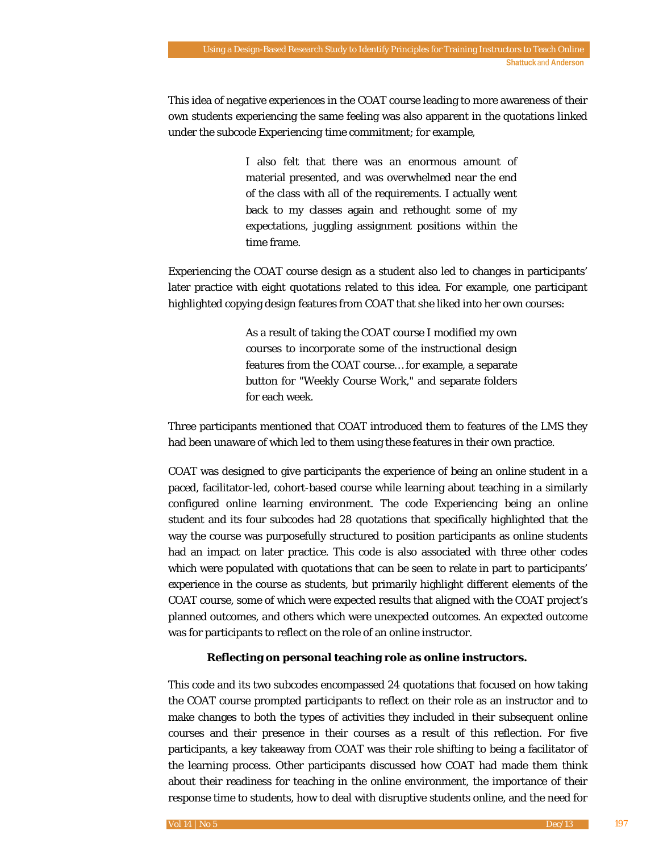This idea of negative experiences in the COAT course leading to more awareness of their own students experiencing the same feeling was also apparent in the quotations linked under the subcode *Experiencing time commitment*; for example,

> I also felt that there was an enormous amount of material presented, and was overwhelmed near the end of the class with all of the requirements. I actually went back to my classes again and rethought some of my expectations, juggling assignment positions within the time frame.

Experiencing the COAT course design as a student also led to changes in participants' later practice with eight quotations related to this idea. For example, one participant highlighted copying design features from COAT that she liked into her own courses:

> As a result of taking the COAT course I modified my own courses to incorporate some of the instructional design features from the COAT course… for example, a separate button for "Weekly Course Work," and separate folders for each week.

Three participants mentioned that COAT introduced them to features of the LMS they had been unaware of which led to them using these features in their own practice.

COAT was designed to give participants the experience of being an online student in a paced, facilitator-led, cohort-based course while learning about teaching in a similarly configured online learning environment. The code *Experiencing being an online student* and its four subcodes had 28 quotations that specifically highlighted that the way the course was purposefully structured to position participants as online students had an impact on later practice. This code is also associated with three other codes which were populated with quotations that can be seen to relate in part to participants' experience in the course as students, but primarily highlight different elements of the COAT course, some of which were expected results that aligned with the COAT project's planned outcomes, and others which were unexpected outcomes. An expected outcome was for participants to reflect on the role of an online instructor.

#### **Reflecting on personal teaching role as online instructors.**

This code and its two subcodes encompassed 24 quotations that focused on how taking the COAT course prompted participants to reflect on their role as an instructor and to make changes to both the types of activities they included in their subsequent online courses and their presence in their courses as a result of this reflection. For five participants, a key takeaway from COAT was their role shifting to being a facilitator of the learning process. Other participants discussed how COAT had made them think about their readiness for teaching in the online environment, the importance of their response time to students, how to deal with disruptive students online, and the need for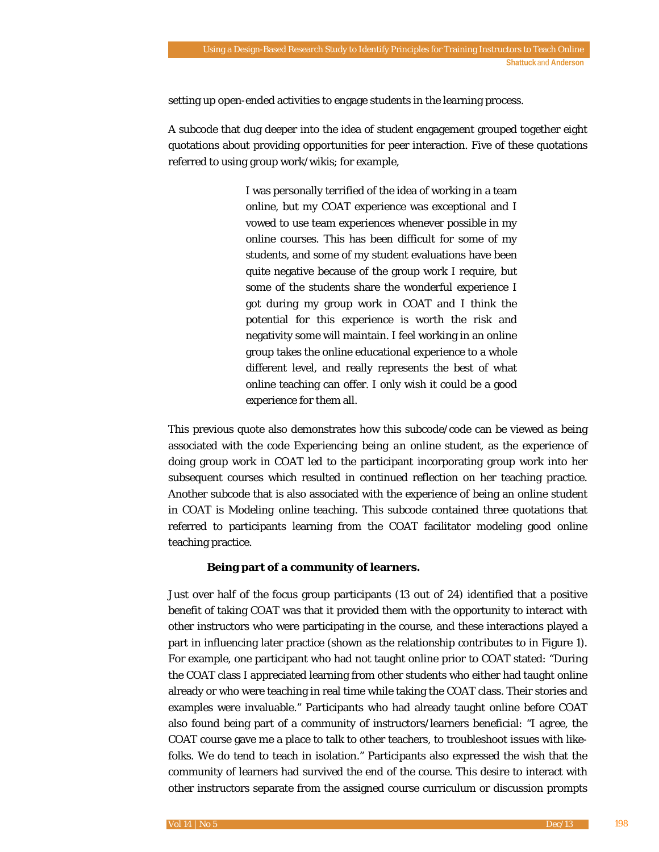setting up open-ended activities to engage students in the learning process.

A subcode that dug deeper into the idea of student engagement grouped together eight quotations about providing opportunities for peer interaction*.* Five of these quotations referred to using group work/wikis; for example,

> I was personally terrified of the idea of working in a team online, but my COAT experience was exceptional and I vowed to use team experiences whenever possible in my online courses. This has been difficult for some of my students, and some of my student evaluations have been quite negative because of the group work I require, but some of the students share the wonderful experience I got during my group work in COAT and I think the potential for this experience is worth the risk and negativity some will maintain. I feel working in an online group takes the online educational experience to a whole different level, and really represents the best of what online teaching can offer. I only wish it could be a good experience for them all.

This previous quote also demonstrates how this subcode/code can be viewed as being associated with the code *Experiencing being an online student*, as the experience of doing group work in COAT led to the participant incorporating group work into her subsequent courses which resulted in continued reflection on her teaching practice. Another subcode that is also associated with the experience of being an online student in COAT is *Modeling online teaching.* This subcode contained three quotations that referred to participants learning from the COAT facilitator modeling good online teaching practice.

### **Being part of a community of learners.**

Just over half of the focus group participants (13 out of 24) identified that a positive benefit of taking COAT was that it provided them with the opportunity to interact with other instructors who were participating in the course, and these interactions played a part in influencing later practice (shown as the relationship *contributes to* in Figure 1). For example, one participant who had not taught online prior to COAT stated: "During the COAT class I appreciated learning from other students who either had taught online already or who were teaching in real time while taking the COAT class. Their stories and examples were invaluable." Participants who had already taught online before COAT also found being part of a community of instructors/learners beneficial: "I agree, the COAT course gave me a place to talk to other teachers, to troubleshoot issues with likefolks. We do tend to teach in isolation." Participants also expressed the wish that the community of learners had survived the end of the course. This desire to interact with other instructors separate from the assigned course curriculum or discussion prompts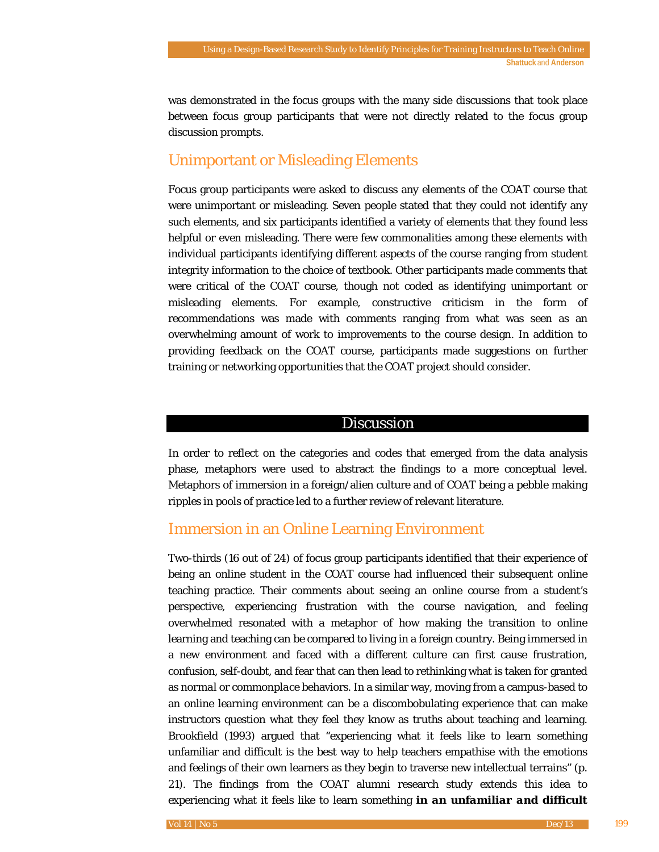was demonstrated in the focus groups with the many side discussions that took place between focus group participants that were not directly related to the focus group discussion prompts.

# Unimportant or Misleading Elements

Focus group participants were asked to discuss any elements of the COAT course that were unimportant or misleading. Seven people stated that they could not identify any such elements, and six participants identified a variety of elements that they found less helpful or even misleading. There were few commonalities among these elements with individual participants identifying different aspects of the course ranging from student integrity information to the choice of textbook. Other participants made comments that were critical of the COAT course, though not coded as identifying unimportant or misleading elements. For example, constructive criticism in the form of recommendations was made with comments ranging from what was seen as an overwhelming amount of work to improvements to the course design. In addition to providing feedback on the COAT course, participants made suggestions on further training or networking opportunities that the COAT project should consider.

### **Discussion**

In order to reflect on the categories and codes that emerged from the data analysis phase, metaphors were used to abstract the findings to a more conceptual level. Metaphors of immersion in a foreign/alien culture and of COAT being a pebble making ripples in pools of practice led to a further review of relevant literature.

# Immersion in an Online Learning Environment

Two-thirds (16 out of 24) of focus group participants identified that their experience of being an online student in the COAT course had influenced their subsequent online teaching practice. Their comments about seeing an online course from a student's perspective, experiencing frustration with the course navigation, and feeling overwhelmed resonated with a metaphor of how making the transition to online learning and teaching can be compared to living in a foreign country. Being immersed in a new environment and faced with a different culture can first cause frustration, confusion, self-doubt, and fear that can then lead to rethinking what is taken for granted as *normal* or *commonplace* behaviors. In a similar way, moving from a campus-based to an online learning environment can be a discombobulating experience that can make instructors question what they feel they know as *truths* about teaching and learning. Brookfield (1993) argued that "experiencing what it feels like to learn something unfamiliar and difficult is the best way to help teachers empathise with the emotions and feelings of their own learners as they begin to traverse new intellectual terrains" (p. 21). The findings from the COAT alumni research study extends this idea to experiencing what it feels like to learn something *in an unfamiliar and difficult*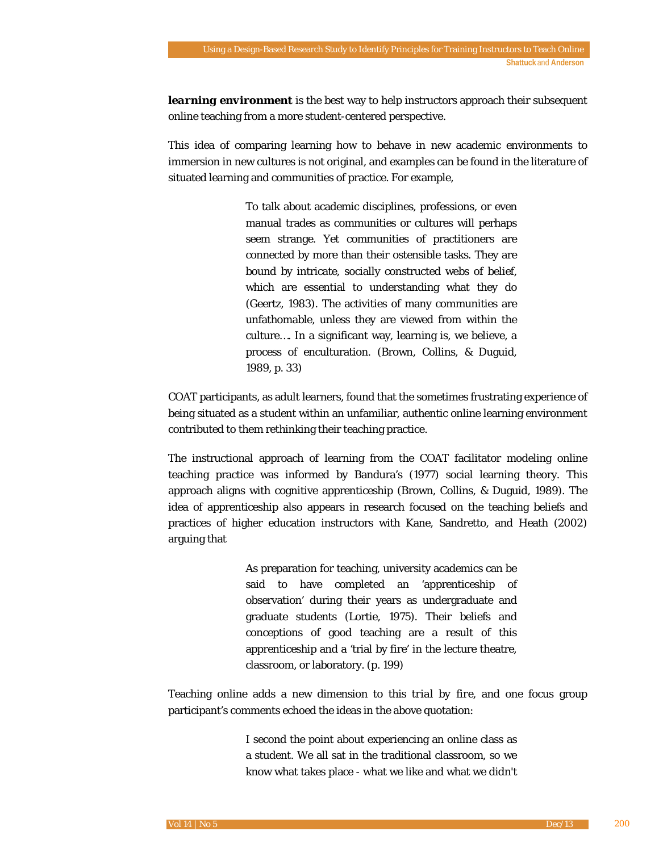*learning environment* is the best way to help instructors approach their subsequent online teaching from a more student-centered perspective.

This idea of comparing learning how to behave in new academic environments to immersion in new cultures is not original, and examples can be found in the literature of situated learning and communities of practice. For example,

> To talk about academic disciplines, professions, or even manual trades as communities or cultures will perhaps seem strange. Yet communities of practitioners are connected by more than their ostensible tasks. They are bound by intricate, socially constructed webs of belief, which are essential to understanding what they do (Geertz, 1983). The activities of many communities are unfathomable, unless they are viewed from within the culture…. In a significant way, learning is, we believe, a process of enculturation. (Brown, Collins, & Duguid, 1989, p. 33)

COAT participants, as adult learners, found that the sometimes frustrating experience of being situated as a student within an unfamiliar, authentic online learning environment contributed to them rethinking their teaching practice.

The instructional approach of learning from the COAT facilitator modeling online teaching practice was informed by Bandura's (1977) social learning theory. This approach aligns with cognitive apprenticeship (Brown, Collins, & Duguid, 1989). The idea of apprenticeship also appears in research focused on the teaching beliefs and practices of higher education instructors with Kane, Sandretto, and Heath (2002) arguing that

> As preparation for teaching, university academics can be said to have completed an 'apprenticeship of observation' during their years as undergraduate and graduate students (Lortie, 1975). Their beliefs and conceptions of good teaching are a result of this apprenticeship and a 'trial by fire' in the lecture theatre, classroom, or laboratory. (p. 199)

Teaching online adds a new dimension to this *trial by fire*, and one focus group participant's comments echoed the ideas in the above quotation:

> I second the point about experiencing an online class as a student. We all sat in the traditional classroom, so we know what takes place - what we like and what we didn't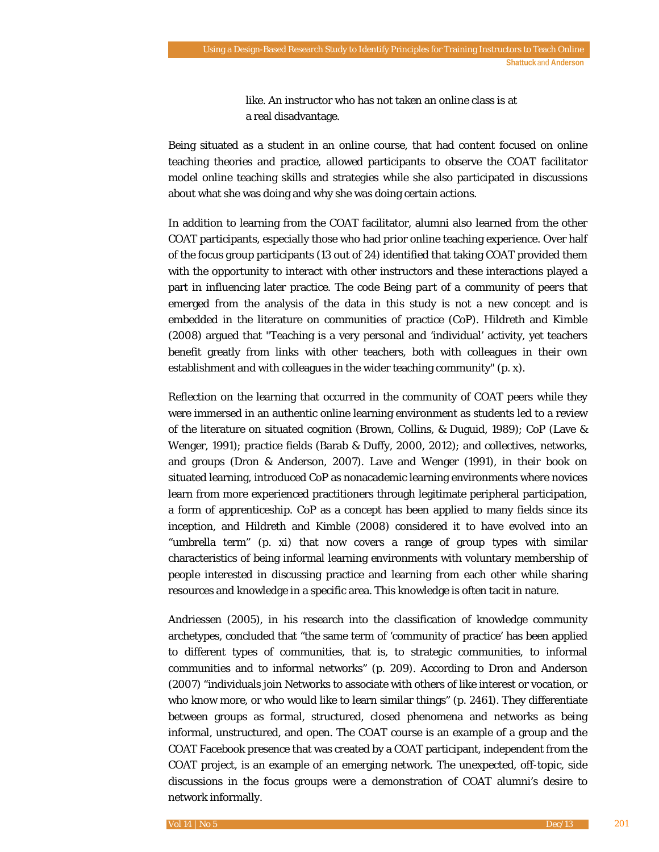like. An instructor who has not taken an online class is at a real disadvantage.

Being situated as a student in an online course, that had content focused on online teaching theories and practice, allowed participants to observe the COAT facilitator model online teaching skills and strategies while she also participated in discussions about what she was doing and why she was doing certain actions.

In addition to learning from the COAT facilitator, alumni also learned from the other COAT participants, especially those who had prior online teaching experience. Over half of the focus group participants (13 out of 24) identified that taking COAT provided them with the opportunity to interact with other instructors and these interactions played a part in influencing later practice. The code *Being part of a community of peers* that emerged from the analysis of the data in this study is not a new concept and is embedded in the literature on communities of practice (CoP). Hildreth and Kimble (2008) argued that "Teaching is a very personal and 'individual' activity, yet teachers benefit greatly from links with other teachers, both with colleagues in their own establishment and with colleagues in the wider teaching community" (p. x).

Reflection on the learning that occurred in the community of COAT peers while they were immersed in an authentic online learning environment as students led to a review of the literature on situated cognition (Brown, Collins, & Duguid, 1989); CoP (Lave & Wenger, 1991); practice fields (Barab & Duffy, 2000, 2012); and collectives, networks, and groups (Dron & Anderson, 2007). Lave and Wenger (1991), in their book on situated learning, introduced CoP as nonacademic learning environments where novices learn from more experienced practitioners through legitimate peripheral participation, a form of apprenticeship. CoP as a concept has been applied to many fields since its inception, and Hildreth and Kimble (2008) considered it to have evolved into an "umbrella term" (p. xi) that now covers a range of group types with similar characteristics of being informal learning environments with voluntary membership of people interested in discussing practice and learning from each other while sharing resources and knowledge in a specific area. This knowledge is often tacit in nature.

Andriessen (2005), in his research into the classification of knowledge community archetypes, concluded that "the same term of 'community of practice' has been applied to different types of communities, that is, to strategic communities, to informal communities and to informal networks" (p. 209). According to Dron and Anderson (2007) "individuals join Networks to associate with others of like interest or vocation, or who know more, or who would like to learn similar things" (p. 2461). They differentiate between groups as formal, structured, closed phenomena and networks as being informal, unstructured, and open. The COAT course is an example of a group and the COAT Facebook presence that was created by a COAT participant, independent from the COAT project, is an example of an emerging network. The unexpected, off-topic, side discussions in the focus groups were a demonstration of COAT alumni's desire to network informally.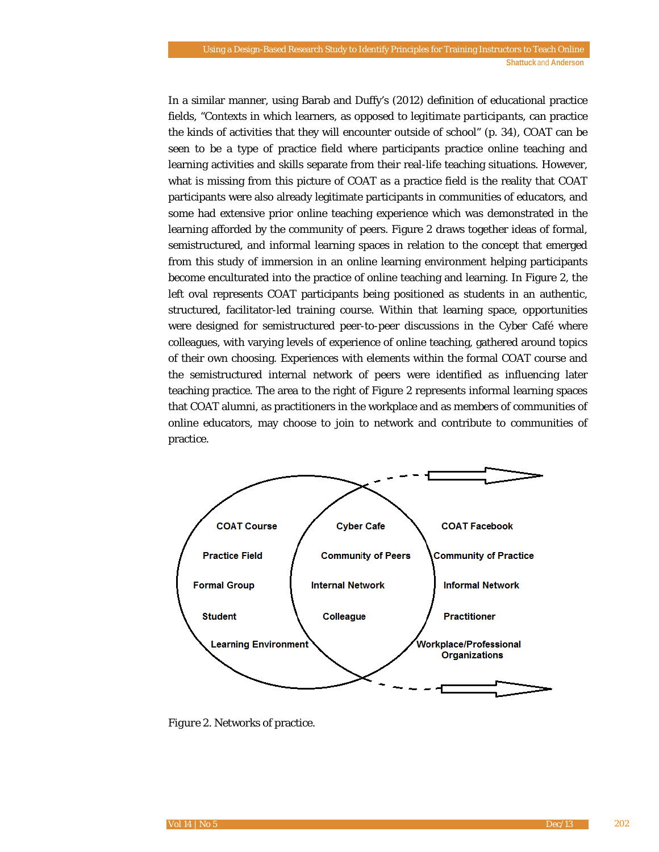In a similar manner, using Barab and Duffy's (2012) definition of educational practice fields, "Contexts in which learners, as opposed to *legitimate participants*, can practice the kinds of activities that they will encounter outside of school" (p. 34), COAT can be seen to be a type of practice field where participants practice online teaching and learning activities and skills separate from their real-life teaching situations. However, what is missing from this picture of COAT as a practice field is the reality that COAT participants were also already legitimate participants in communities of educators, and some had extensive prior online teaching experience which was demonstrated in the learning afforded by the community of peers. Figure 2 draws together ideas of formal, semistructured, and informal learning spaces in relation to the concept that emerged from this study of immersion in an online learning environment helping participants become enculturated into the practice of online teaching and learning. In Figure 2, the left oval represents COAT participants being positioned as students in an authentic, structured, facilitator-led training course. Within that learning space, opportunities were designed for semistructured peer-to-peer discussions in the Cyber Café where colleagues, with varying levels of experience of online teaching, gathered around topics of their own choosing. Experiences with elements within the formal COAT course and the semistructured internal network of peers were identified as influencing later teaching practice. The area to the right of Figure 2 represents informal learning spaces that COAT alumni, as practitioners in the workplace and as members of communities of online educators, may choose to join to network and contribute to communities of practice.



*Figure 2.* Networks of practice.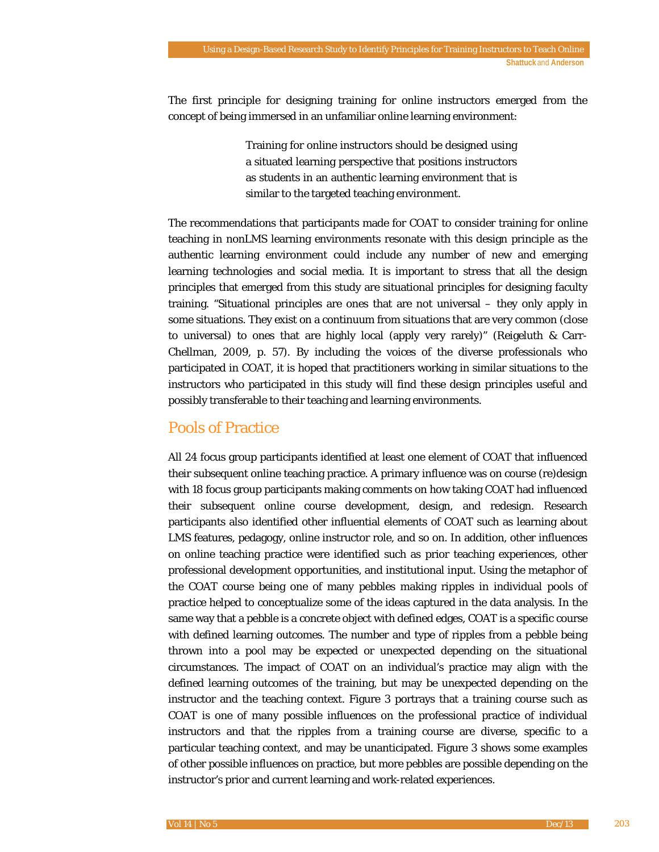The first principle for designing training for online instructors emerged from the concept of being immersed in an unfamiliar online learning environment:

> Training for online instructors should be designed using a situated learning perspective that positions instructors as students in an authentic learning environment that is similar to the targeted teaching environment.

The recommendations that participants made for COAT to consider training for online teaching in nonLMS learning environments resonate with this design principle as the authentic learning environment could include any number of new and emerging learning technologies and social media. It is important to stress that all the design principles that emerged from this study are situational principles for designing faculty training. "Situational principles are ones that are not universal – they only apply in some situations. They exist on a continuum from situations that are very common (close to universal) to ones that are highly local (apply very rarely)" (Reigeluth & Carr-Chellman, 2009, p. 57). By including the voices of the diverse professionals who participated in COAT, it is hoped that practitioners working in similar situations to the instructors who participated in this study will find these design principles useful and possibly transferable to their teaching and learning environments.

### Pools of Practice

All 24 focus group participants identified at least one element of COAT that influenced their subsequent online teaching practice*.* A primary influence was on course (re)design with 18 focus group participants making comments on how taking COAT had influenced their subsequent online course development, design, and redesign. Research participants also identified other influential elements of COAT such as learning about LMS features, pedagogy, online instructor role, and so on. In addition, other influences on online teaching practice were identified such as prior teaching experiences, other professional development opportunities, and institutional input. Using the metaphor of the COAT course being one of many pebbles making ripples in individual pools of practice helped to conceptualize some of the ideas captured in the data analysis. In the same way that a pebble is a concrete object with defined edges, COAT is a specific course with defined learning outcomes. The number and type of ripples from a pebble being thrown into a pool may be expected or unexpected depending on the situational circumstances. The impact of COAT on an individual's practice may align with the defined learning outcomes of the training, but may be unexpected depending on the instructor and the teaching context. Figure 3 portrays that a training course such as COAT is one of many possible influences on the professional practice of individual instructors and that the ripples from a training course are diverse, specific to a particular teaching context, and may be unanticipated. Figure 3 shows some examples of other possible influences on practice, but more *pebbles* are possible depending on the instructor's prior and current learning and work-related experiences.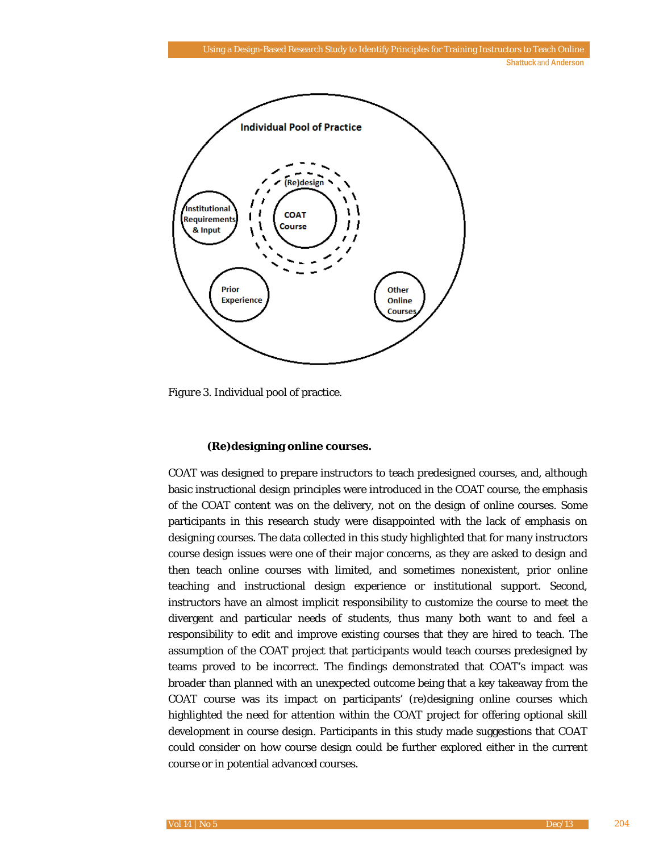

*Figure 3.* Individual pool of practice.

### **(Re)designing online courses.**

COAT was designed to prepare instructors to teach predesigned courses, and, although basic instructional design principles were introduced in the COAT course, the emphasis of the COAT content was on the delivery, not on the design of online courses. Some participants in this research study were disappointed with the lack of emphasis on designing courses. The data collected in this study highlighted that for many instructors course design issues were one of their major concerns, as they are asked to design and then teach online courses with limited, and sometimes nonexistent, prior online teaching and instructional design experience or institutional support. Second, instructors have an almost implicit responsibility to customize the course to meet the divergent and particular needs of students, thus many both want to and feel a responsibility to edit and improve existing courses that they are hired to teach. The assumption of the COAT project that participants would teach courses predesigned by teams proved to be incorrect. The findings demonstrated that COAT's impact was broader than planned with an unexpected outcome being that a key takeaway from the COAT course was its impact on participants' (re)designing online courses which highlighted the need for attention within the COAT project for offering optional skill development in course design. Participants in this study made suggestions that COAT could consider on how course design could be further explored either in the current course or in potential advanced courses.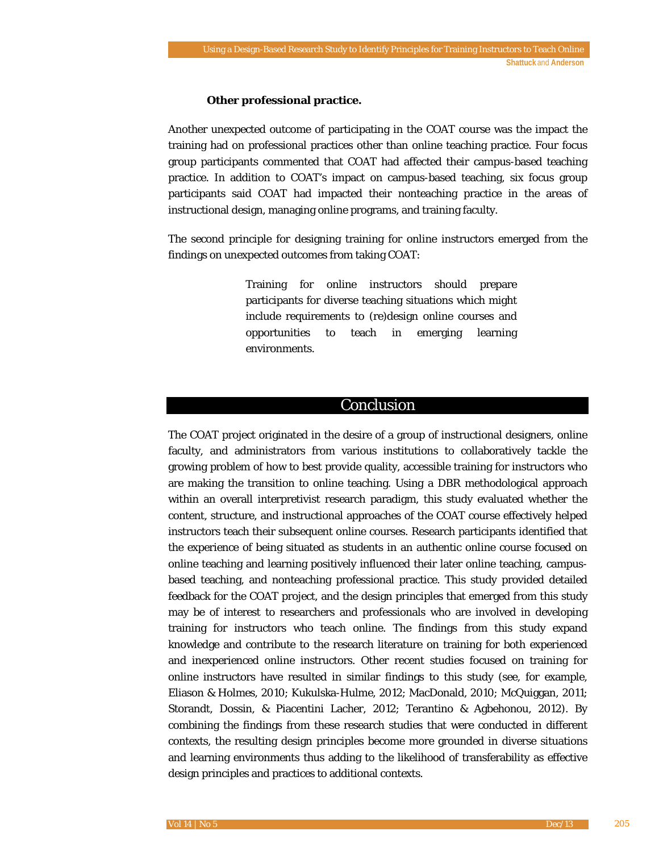### **Other professional practice.**

Another unexpected outcome of participating in the COAT course was the impact the training had on professional practices other than online teaching practice. Four focus group participants commented that COAT had affected their campus-based teaching practice. In addition to COAT's impact on campus-based teaching, six focus group participants said COAT had impacted their nonteaching practice in the areas of instructional design, managing online programs, and training faculty.

The second principle for designing training for online instructors emerged from the findings on unexpected outcomes from taking COAT:

> Training for online instructors should prepare participants for diverse teaching situations which might include requirements to (re)design online courses and opportunities to teach in emerging learning environments.

### Conclusion

The COAT project originated in the desire of a group of instructional designers, online faculty, and administrators from various institutions to collaboratively tackle the growing problem of how to best provide quality, accessible training for instructors who are making the transition to online teaching. Using a DBR methodological approach within an overall interpretivist research paradigm, this study evaluated whether the content, structure, and instructional approaches of the COAT course effectively helped instructors teach their subsequent online courses. Research participants identified that the experience of being situated as students in an authentic online course focused on online teaching and learning positively influenced their later online teaching, campusbased teaching, and nonteaching professional practice. This study provided detailed feedback for the COAT project, and the design principles that emerged from this study may be of interest to researchers and professionals who are involved in developing training for instructors who teach online. The findings from this study expand knowledge and contribute to the research literature on training for both experienced and inexperienced online instructors. Other recent studies focused on training for online instructors have resulted in similar findings to this study (see, for example, Eliason & Holmes, 2010; Kukulska-Hulme, 2012; MacDonald, 2010; McQuiggan, 2011; Storandt, Dossin, & Piacentini Lacher, 2012; Terantino & Agbehonou, 2012). By combining the findings from these research studies that were conducted in different contexts, the resulting design principles become more grounded in diverse situations and learning environments thus adding to the likelihood of transferability as effective design principles and practices to additional contexts.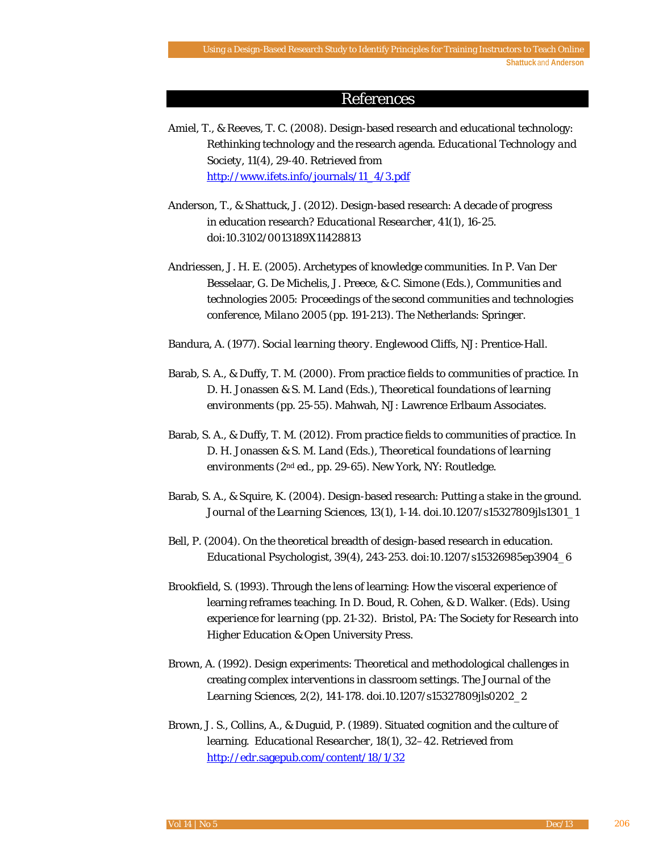### References

- Amiel, T., & Reeves, T. C. (2008). Design-based research and educational technology: Rethinking technology and the research agenda. *Educational Technology and Society, 11*(4), 29-40. Retrieved from [http://www.ifets.info/journals/11\\_4/3.pdf](http://www.ifets.info/journals/11_4/3.pdf)
- Anderson, T., & Shattuck, J. (2012). Design-based research: A decade of progress in education research? *Educational Researcher, 41*(1), 16-25. doi:10.3102/0013189X11428813
- Andriessen, J. H. E. (2005). Archetypes of knowledge communities. In P. Van Der Besselaar, G. De Michelis, J. Preece, & C. Simone (Eds.), *Communities and technologies 2005: Proceedings of the second communities and technologies conference, Milano 2005* (pp. 191-213). The Netherlands: Springer.
- Bandura, A. (1977). *Social learning theory*. Englewood Cliffs, NJ: Prentice-Hall.
- Barab, S. A., & Duffy, T. M. (2000). From practice fields to communities of practice. In D. H. Jonassen & S. M. Land (Eds.), *Theoretical foundations of learning environments* (pp. 25-55). Mahwah, NJ: Lawrence Erlbaum Associates.
- Barab, S. A., & Duffy, T. M. (2012). From practice fields to communities of practice. In D. H. Jonassen & S. M. Land (Eds.), *Theoretical foundations of learning environments* (2nd ed., pp. 29-65). New York, NY: Routledge.
- Barab, S. A., & Squire, K. (2004). Design-based research: Putting a stake in the ground. *Journal of the Learning Sciences, 13*(1), 1-14. doi.10.1207/s15327809jls1301\_1
- Bell, P. (2004). On the theoretical breadth of design-based research in education. *Educational Psychologist, 39*(4), 243-253. doi:10.1207/s15326985ep3904\_6
- Brookfield, S. (1993). Through the lens of learning: How the visceral experience of learning reframes teaching. In D. Boud, R. Cohen, & D. Walker. (Eds). *Using experience for learning* (pp. 21-32). Bristol, PA: The Society for Research into Higher Education & Open University Press.
- Brown, A. (1992). Design experiments: Theoretical and methodological challenges in creating complex interventions in classroom settings. *The Journal of the Learning Sciences, 2*(2), 141-178. doi.10.1207/s15327809jls0202\_2
- Brown, J. S., Collins, A., & Duguid, P. (1989). Situated cognition and the culture of learning. *Educational Researcher, 18*(1), 32–42. Retrieved from <http://edr.sagepub.com/content/18/1/32>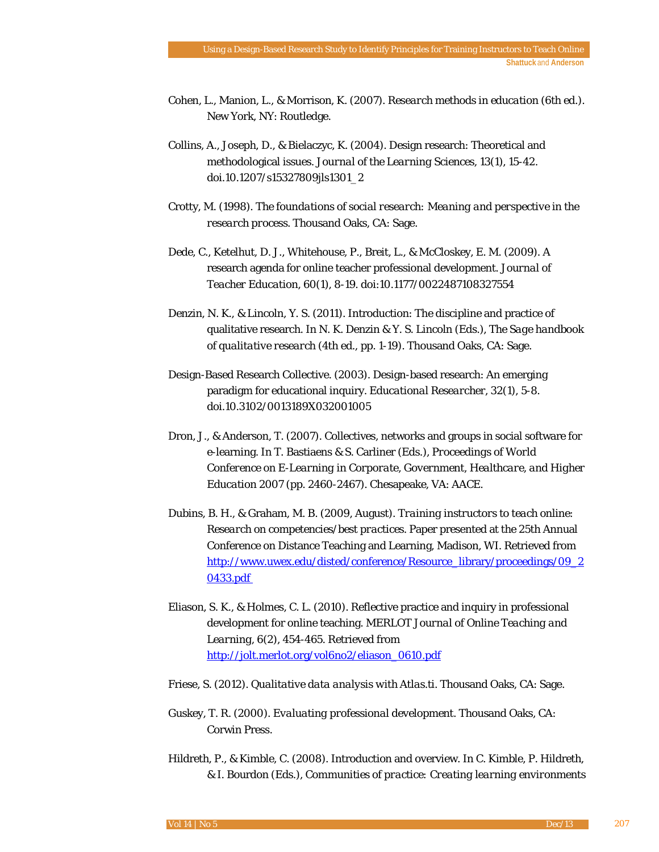- Cohen, L., Manion, L., & Morrison, K. (2007). *Research methods in education* (6th ed.). New York, NY: Routledge.
- Collins, A., Joseph, D., & Bielaczyc, K. (2004). Design research: Theoretical and methodological issues. *Journal of the Learning Sciences, 13*(1), 15-42. doi.10.1207/s15327809jls1301\_2
- Crotty, M. (1998). *The foundations of social research: Meaning and perspective in the research process*. Thousand Oaks, CA: Sage.
- Dede, C., Ketelhut, D. J., Whitehouse, P., Breit, L., & McCloskey, E. M. (2009). A research agenda for online teacher professional development. *Journal of Teacher Education*, *60*(1), 8-19. doi:10.1177/0022487108327554
- Denzin, N. K., & Lincoln, Y. S. (2011). Introduction: The discipline and practice of qualitative research. In N. K. Denzin & Y. S. Lincoln (Eds.), *The Sage handbook of qualitative research* (4th ed., pp. 1-19). Thousand Oaks, CA: Sage.
- Design-Based Research Collective. (2003). Design-based research: An emerging paradigm for educational inquiry. *Educational Researcher, 32*(1), 5-8. doi.10.3102/0013189X032001005
- Dron, J., & Anderson, T. (2007). Collectives, networks and groups in social software for e-learning. In T. Bastiaens & S. Carliner (Eds.), *Proceedings of World Conference on E-Learning in Corporate, Government, Healthcare, and Higher Education 2007* (pp. 2460-2467). Chesapeake, VA: AACE.
- Dubins, B. H., & Graham, M. B. (2009, August). *Training instructors to teach online: Research on competencies/best practices.* Paper presented at the 25th Annual Conference on Distance Teaching and Learning, Madison, WI. Retrieved from [http://www.uwex.edu/disted/conference/Resource\\_library/proceedings/09\\_2](http://www.uwex.edu/disted/conference/Resource_library/proceedings/09_20433.pdf) [0433.pdf](http://www.uwex.edu/disted/conference/Resource_library/proceedings/09_20433.pdf)
- Eliason, S. K., & Holmes, C. L. (2010). Reflective practice and inquiry in professional development for online teaching. *MERLOT Journal of Online Teaching and Learning, 6*(2), 454-465. Retrieved from [http://jolt.merlot.org/vol6no2/eliason\\_0610.pdf](http://jolt.merlot.org/vol6no2/eliason_0610.pdf)
- Friese, S. (2012). *Qualitative data analysis with Atlas.ti.* Thousand Oaks, CA: Sage.
- Guskey, T. R. (2000). *Evaluating professional development.* Thousand Oaks, CA: Corwin Press.
- Hildreth, P., & Kimble, C. (2008). Introduction and overview. In C. Kimble, P. Hildreth, & I. Bourdon (Eds.), *Communities of practice: Creating learning environments*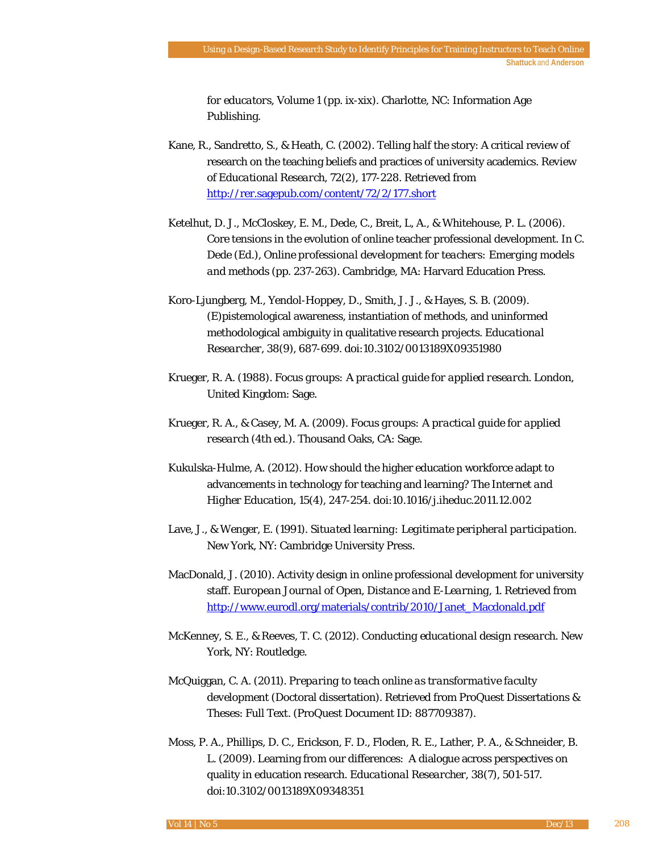*for educators, Volume 1* (pp. ix-xix). Charlotte, NC: Information Age Publishing.

- Kane, R., Sandretto, S., & Heath, C. (2002). Telling half the story: A critical review of research on the teaching beliefs and practices of university academics. *Review of Educational Research, 72*(2), 177-228. Retrieved from <http://rer.sagepub.com/content/72/2/177.short>
- Ketelhut, D. J., McCloskey, E. M., Dede, C., Breit, L, A., & Whitehouse, P. L. (2006). Core tensions in the evolution of online teacher professional development. In C. Dede (Ed.), *Online professional development for teachers: Emerging models and methods* (pp. 237-263). Cambridge, MA: Harvard Education Press.
- Koro-Ljungberg, M., Yendol-Hoppey, D., Smith, J. J., & Hayes, S. B. (2009). (E)pistemological awareness, instantiation of methods, and uninformed methodological ambiguity in qualitative research projects. *Educational Researcher, 38*(9), 687-699. doi:10.3102/0013189X09351980
- Krueger, R. A. (1988). *Focus groups: A practical guide for applied research.* London, United Kingdom: Sage.
- Krueger, R. A., & Casey, M. A. (2009). *Focus groups: A practical guide for applied research* (4th ed.)*.* Thousand Oaks, CA: Sage.
- Kukulska-Hulme, A. (2012). How should the higher education workforce adapt to advancements in technology for teaching and learning? *The Internet and Higher Education, 15*(4), 247-254. doi:10.1016/j.iheduc.2011.12.002
- Lave, J., & Wenger, E. (1991*). Situated learning: Legitimate peripheral participation*. New York, NY: Cambridge University Press.
- MacDonald, J. (2010). Activity design in online professional development for university staff. *European Journal of Open, Distance and E-Learning, 1.* Retrieved from [http://www.eurodl.org/materials/contrib/2010/Janet\\_Macdonald.pdf](http://www.eurodl.org/materials/contrib/2010/Janet_Macdonald.pdf)
- McKenney, S. E., & Reeves, T. C. (2012). *Conducting educational design research.* New York, NY: Routledge.
- McQuiggan, C. A. (2011). *Preparing to teach online as transformative faculty development* (Doctoral dissertation). Retrieved from ProQuest Dissertations & Theses: Full Text. (ProQuest Document ID: 887709387).
- Moss, P. A., Phillips, D. C., Erickson, F. D., Floden, R. E., Lather, P. A., & Schneider, B. L. (2009). Learning from our differences: A dialogue across perspectives on quality in education research. *Educational Researcher, 38*(7), 501-517. doi:10.3102/0013189X09348351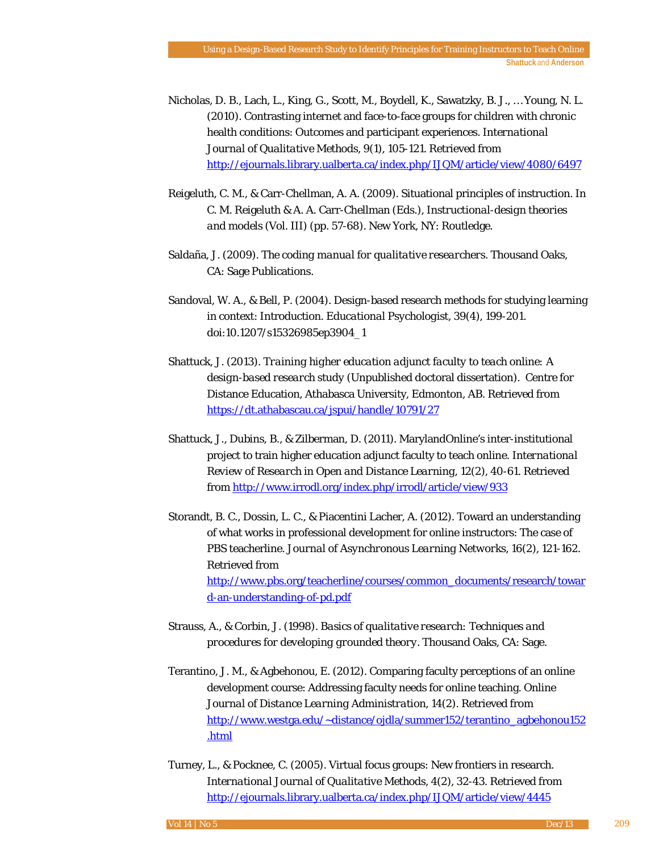- Nicholas, D. B., Lach, L., King, G., Scott, M., Boydell, K., Sawatzky, B. J., … Young, N. L. (2010). Contrasting internet and face-to-face groups for children with chronic health conditions: Outcomes and participant experiences. *International Journal of Qualitative Methods, 9*(1), 105-121. Retrieved from <http://ejournals.library.ualberta.ca/index.php/IJQM/article/view/4080/6497>
- Reigeluth, C. M., & Carr-Chellman, A. A. (2009). Situational principles of instruction. In C. M. Reigeluth & A. A. Carr-Chellman (Eds.), *Instructional-design theories and models* (Vol. III) (pp. 57-68). New York, NY: Routledge.
- Saldaña, J. (2009). *The coding manual for qualitative researchers.* Thousand Oaks, CA: Sage Publications.
- Sandoval, W. A., & Bell, P. (2004). Design-based research methods for studying learning in context: Introduction. *Educational Psychologist, 39*(4), 199-201. doi:10.1207/s15326985ep3904\_1
- Shattuck, J. (2013). *Training higher education adjunct faculty to teach online: A design-based research study* (Unpublished doctoral dissertation). Centre for Distance Education, Athabasca University, Edmonton, AB. Retrieved from <https://dt.athabascau.ca/jspui/handle/10791/27>
- Shattuck, J., Dubins, B., & Zilberman, D. (2011). MarylandOnline's inter-institutional project to train higher education adjunct faculty to teach online. *International Review of Research in Open and Distance Learning, 12*(2), 40-61. Retrieved from<http://www.irrodl.org/index.php/irrodl/article/view/933>
- Storandt, B. C., Dossin, L. C., & Piacentini Lacher, A. (2012). Toward an understanding of what works in professional development for online instructors: The case of PBS teacherline. *Journal of Asynchronous Learning Networks, 16*(2), 121-162. Retrieved from [http://www.pbs.org/teacherline/courses/common\\_documents/research/towar](http://www.pbs.org/teacherline/courses/common_documents/research/toward-an-understanding-of-pd.pdf) [d-an-understanding-of-pd.pdf](http://www.pbs.org/teacherline/courses/common_documents/research/toward-an-understanding-of-pd.pdf)
- Strauss, A., & Corbin, J. (1998). *Basics of qualitative research: Techniques and procedures for developing grounded theory.* Thousand Oaks, CA: Sage.
- Terantino, J. M., & Agbehonou, E. (2012). Comparing faculty perceptions of an online development course: Addressing faculty needs for online teaching. *Online Journal of Distance Learning Administration, 14*(2). Retrieved from [http://www.westga.edu/~distance/ojdla/summer152/terantino\\_agbehonou152](http://www.westga.edu/~distance/ojdla/summer152/terantino_agbehonou152.html) [.html](http://www.westga.edu/~distance/ojdla/summer152/terantino_agbehonou152.html)
- Turney, L., & Pocknee, C. (2005). Virtual focus groups: New frontiers in research. *International Journal of Qualitative Methods, 4*(2), 32-43. Retrieved from <http://ejournals.library.ualberta.ca/index.php/IJQM/article/view/4445>